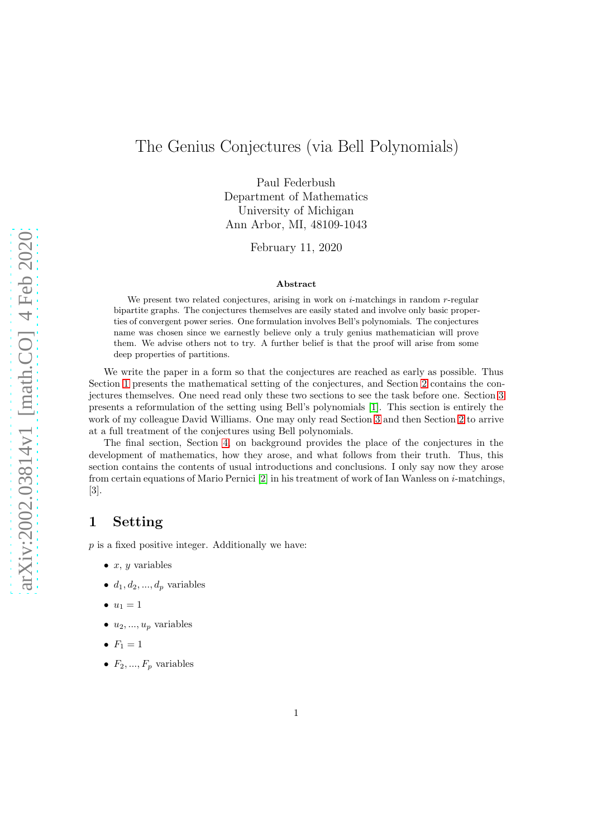# The Genius Conjectures (via Bell Polynomials)

Paul Federbush Department of Mathematics University of Michigan Ann Arbor, MI, 48109-1043

February 11, 2020

#### Abstract

We present two related conjectures, arising in work on  $i$ -matchings in random  $r$ -regular bipartite graphs. The conjectures themselves are easily stated and involve only basic properties of convergent power series. One formulation involves Bell's polynomials. The conjectures name was chosen since we earnestly believe only a truly genius mathematician will prove them. We advise others not to try. A further belief is that the proof will arise from some deep properties of partitions.

We write the paper in a form so that the conjectures are reached as early as possible. Thus Section [1](#page-0-0) presents the mathematical setting of the conjectures, and Section [2](#page-1-0) contains the conjectures themselves. One need read only these two sections to see the task before one. Section [3](#page-1-1) presents a reformulation of the setting using Bell's polynomials [\[1\]](#page-5-0). This section is entirely the work of my colleague David Williams. One may only read Section [3](#page-1-1) and then Section [2](#page-1-0) to arrive at a full treatment of the conjectures using Bell polynomials.

The final section, Section [4,](#page-2-0) on background provides the place of the conjectures in the development of mathematics, how they arose, and what follows from their truth. Thus, this section contains the contents of usual introductions and conclusions. I only say now they arose from certain equations of Mario Pernici [\[2\]](#page-5-1) in his treatment of work of Ian Wanless on i-matchings, [3].

### <span id="page-0-0"></span>1 Setting

 $p$  is a fixed positive integer. Additionally we have:

- $\bullet$  x, y variables
- $d_1, d_2, ..., d_p$  variables
- $u_1 = 1$
- $\bullet$   $u_2, ..., u_p$  variables
- $F_1 = 1$
- $F_2, ..., F_p$  variables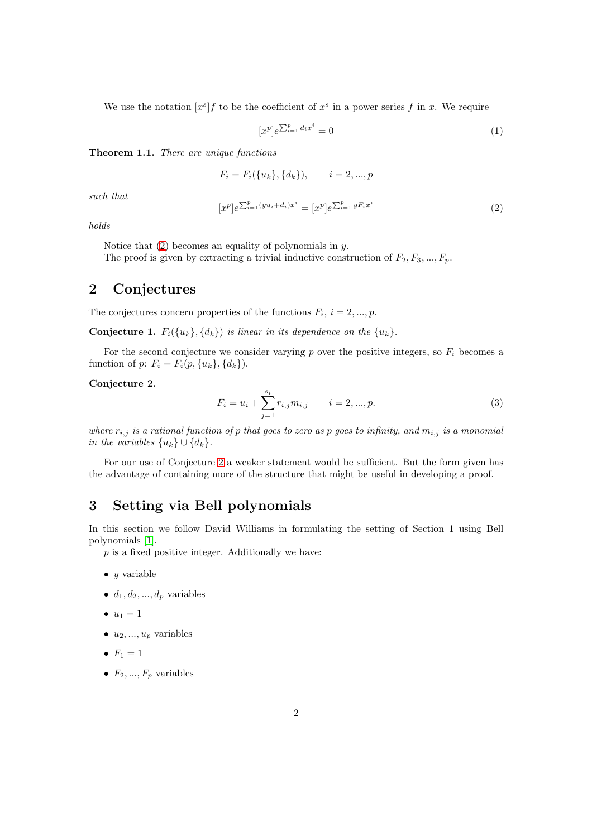We use the notation  $[x^s]f$  to be the coefficient of  $x^s$  in a power series f in x. We require

<span id="page-1-4"></span>
$$
[x^p]e^{\sum_{i=1}^p d_i x^i} = 0\tag{1}
$$

Theorem 1.1. *There are unique functions*

$$
F_i = F_i({u_k}, {d_k}), \qquad i = 2, ..., p
$$

*such that*

<span id="page-1-2"></span>
$$
[x^p]e^{\sum_{i=1}^p(yu_i+d_i)x^i} = [x^p]e^{\sum_{i=1}^p yF_ix^i}
$$
\n(2)

*holds*

Notice that  $(2)$  becomes an equality of polynomials in y. The proof is given by extracting a trivial inductive construction of  $F_2, F_3, ..., F_p$ .

### <span id="page-1-0"></span>2 Conjectures

The conjectures concern properties of the functions  $F_i$ ,  $i = 2, ..., p$ .

**Conjecture 1.**  $F_i({u_k}, {d_k})$  *is linear in its dependence on the*  ${u_k}$ .

For the second conjecture we consider varying  $p$  over the positive integers, so  $F_i$  becomes a function of p:  $F_i = F_i(p, \{u_k\}, \{d_k\}).$ 

### <span id="page-1-3"></span>Conjecture 2.

$$
F_i = u_i + \sum_{j=1}^{s_i} r_{i,j} m_{i,j} \qquad i = 2, ..., p. \tag{3}
$$

*where*  $r_{i,j}$  *is a rational function of p that goes to zero as p goes to infinity, and*  $m_{i,j}$  *is a monomial in the variables*  $\{u_k\} \cup \{d_k\}.$ 

For our use of Conjecture [2](#page-1-3) a weaker statement would be sufficient. But the form given has the advantage of containing more of the structure that might be useful in developing a proof.

### <span id="page-1-1"></span>3 Setting via Bell polynomials

In this section we follow David Williams in formulating the setting of Section 1 using Bell polynomials [\[1\]](#page-5-0).

 $p$  is a fixed positive integer. Additionally we have:

 $\bullet$  y variable

 $\bullet$   $d_1, d_2, ..., d_p$  variables

$$
\bullet \ u_1=1
$$

 $\bullet$   $u_2, ..., u_p$  variables

$$
\bullet \ \ F_1=1
$$

•  $F_2, ..., F_p$  variables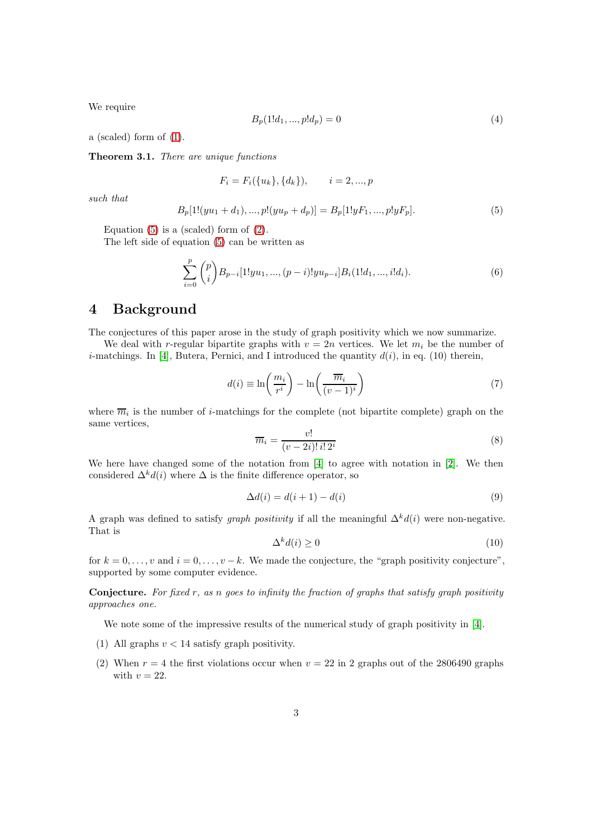We require

$$
B_p(1!d_1, ..., p!d_p) = 0\tag{4}
$$

a (scaled) form of [\(1\)](#page-1-4).

Theorem 3.1. *There are unique functions*

$$
F_i = F_i({u_k}, {d_k}), \qquad i = 2, ..., p
$$

*such that*

<span id="page-2-1"></span>
$$
B_p[1!(yu_1+d_1),...,p!(yu_p+d_p)] = B_p[1!yF_1,...,p!yF_p].
$$
\n(5)

Equation  $(5)$  is a (scaled) form of  $(2)$ .

The left side of equation [\(5\)](#page-2-1) can be written as

$$
\sum_{i=0}^{p} \binom{p}{i} B_{p-i}[1!yu_1, ..., (p-i)!yu_{p-i}]B_i(1!d_1, ..., i!d_i).
$$
 (6)

### <span id="page-2-0"></span>4 Background

The conjectures of this paper arose in the study of graph positivity which we now summarize.

We deal with r-regular bipartite graphs with  $v = 2n$  vertices. We let  $m_i$  be the number of *i*-matchings. In [\[4\]](#page-5-2), Butera, Pernici, and I introduced the quantity  $d(i)$ , in eq. (10) therein,

$$
d(i) \equiv \ln\left(\frac{m_i}{r^i}\right) - \ln\left(\frac{\overline{m}_i}{(v-1)^i}\right) \tag{7}
$$

where  $\overline{m}_i$  is the number of *i*-matchings for the complete (not bipartite complete) graph on the same vertices,

$$
\overline{m}_i = \frac{v!}{(v-2i)! \, i! \, 2^i} \tag{8}
$$

We here have changed some of the notation from [\[4\]](#page-5-2) to agree with notation in [\[2\]](#page-5-1). We then considered  $\Delta^k d(i)$  where  $\Delta$  is the finite difference operator, so

$$
\Delta d(i) = d(i+1) - d(i) \tag{9}
$$

A graph was defined to satisfy *graph positivity* if all the meaningful  $\Delta^k d(i)$  were non-negative. That is

$$
\Delta^k d(i) \ge 0 \tag{10}
$$

for  $k = 0, \ldots, v$  and  $i = 0, \ldots, v - k$ . We made the conjecture, the "graph positivity conjecture", supported by some computer evidence.

Conjecture. *For fixed* r*, as* n *goes to infinity the fraction of graphs that satisfy graph positivity approaches one.*

We note some of the impressive results of the numerical study of graph positivity in [\[4\]](#page-5-2).

- (1) All graphs  $v < 14$  satisfy graph positivity.
- (2) When  $r = 4$  the first violations occur when  $v = 22$  in 2 graphs out of the 2806490 graphs with  $v = 22$ .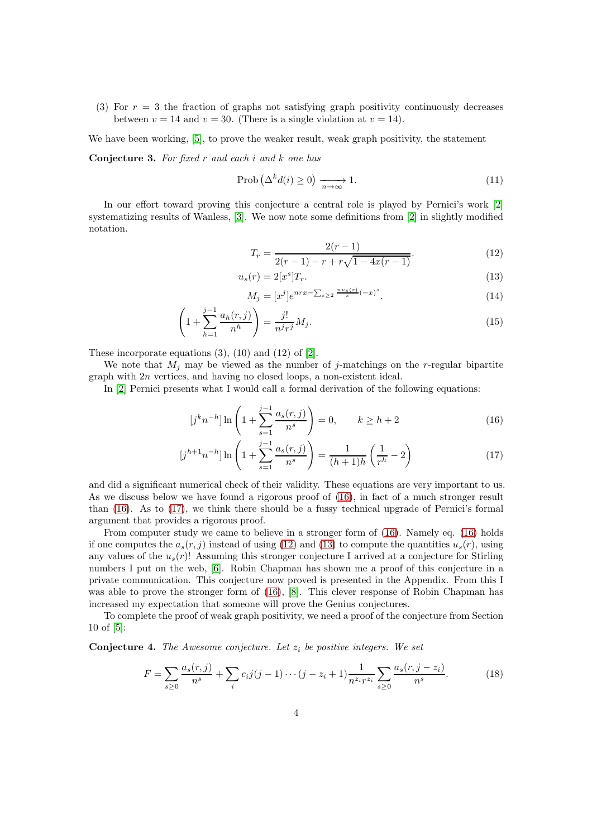(3) For  $r = 3$  the fraction of graphs not satisfying graph positivity continuously decreases between  $v = 14$  and  $v = 30$ . (There is a single violation at  $v = 14$ ).

We have been working, [\[5\]](#page-5-3), to prove the weaker result, weak graph positivity, the statement

Conjecture 3. *For fixed* r *and each* i *and* k *one has*

$$
\text{Prob}\left(\Delta^k d(i) \ge 0\right) \xrightarrow[n \to \infty]{} 1. \tag{11}
$$

In our effort toward proving this conjecture a central role is played by Pernici's work [\[2\]](#page-5-1) systematizing results of Wanless, [\[3\]](#page-5-4). We now note some definitions from [\[2\]](#page-5-1) in slightly modified notation.

<span id="page-3-3"></span><span id="page-3-2"></span>
$$
T_r = \frac{2(r-1)}{2(r-1) - r + r\sqrt{1 - 4x(r-1)}}.\tag{12}
$$

$$
u_s(r) = 2[x^s]T_r.
$$
\n<sup>(13)</sup>

<span id="page-3-1"></span><span id="page-3-0"></span>
$$
M_j = [x^j]e^{nrx - \sum_{s \ge 2} \frac{n u_s(r)}{s}(-x)^s}.
$$
 (14)

$$
\left(1 + \sum_{h=1}^{j-1} \frac{a_h(r,j)}{n^h}\right) = \frac{j!}{n^j r^j} M_j.
$$
\n(15)

These incorporate equations  $(3)$ ,  $(10)$  and  $(12)$  of  $[2]$ .

We note that  $M_i$  may be viewed as the number of j-matchings on the r-regular bipartite graph with 2n vertices, and having no closed loops, a non-existent ideal.

In [\[2\]](#page-5-1) Pernici presents what I would call a formal derivation of the following equations:

$$
[j^k n^{-h}] \ln \left( 1 + \sum_{s=1}^{j-1} \frac{a_s(r,j)}{n^s} \right) = 0, \qquad k \ge h+2
$$
 (16)

$$
[j^{h+1}n^{-h}] \ln \left( 1 + \sum_{s=1}^{j-1} \frac{a_s(r,j)}{n^s} \right) = \frac{1}{(h+1)h} \left( \frac{1}{r^h} - 2 \right)
$$
 (17)

and did a significant numerical check of their validity. These equations are very important to us. As we discuss below we have found a rigorous proof of [\(16\)](#page-3-0), in fact of a much stronger result than [\(16\)](#page-3-0). As to [\(17\)](#page-3-1), we think there should be a fussy technical upgrade of Pernici's formal argument that provides a rigorous proof.

From computer study we came to believe in a stronger form of [\(16\)](#page-3-0). Namely eq. [\(16\)](#page-3-0) holds if one computes the  $a_s(r, j)$  instead of using [\(12\)](#page-3-2) and [\(13\)](#page-3-3) to compute the quantities  $u_s(r)$ , using any values of the  $u_s(r)$ ! Assuming this stronger conjecture I arrived at a conjecture for Stirling numbers I put on the web, [\[6\]](#page-5-5). Robin Chapman has shown me a proof of this conjecture in a private communication. This conjecture now proved is presented in the Appendix. From this I was able to prove the stronger form of [\(16\)](#page-3-0), [\[8\]](#page-5-6). This clever response of Robin Chapman has increased my expectation that someone will prove the Genius conjectures.

To complete the proof of weak graph positivity, we need a proof of the conjecture from Section 10 of [\[5\]](#page-5-3):

Conjecture 4. *The Awesome conjecture. Let* z<sup>i</sup> *be positive integers. We set*

$$
F = \sum_{s \ge 0} \frac{a_s(r,j)}{n^s} + \sum_i c_i j(j-1) \cdots (j-z_i+1) \frac{1}{n^{z_i} r^{z_i}} \sum_{s \ge 0} \frac{a_s(r,j-z_i)}{n^s}.
$$
 (18)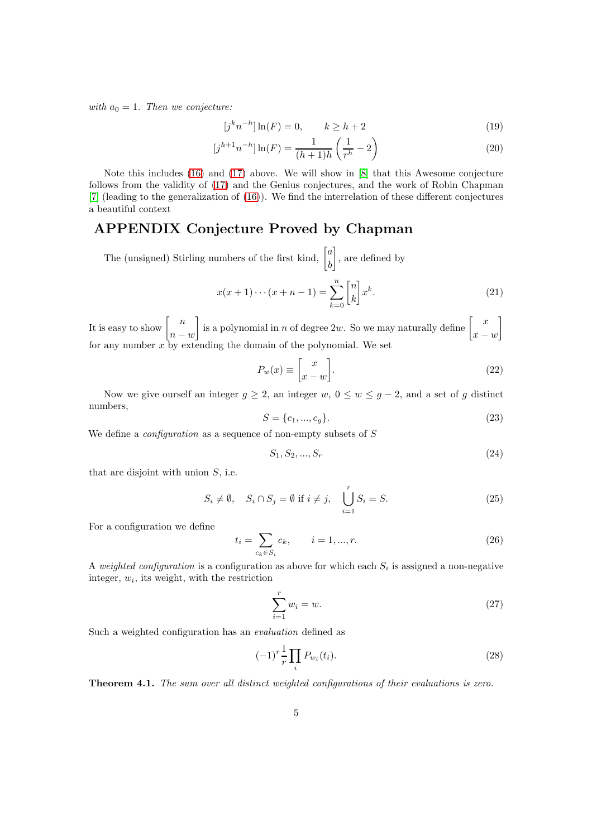*with*  $a_0 = 1$ *. Then we conjecture:* 

$$
[j^k n^{-h}] \ln(F) = 0, \qquad k \ge h + 2 \tag{19}
$$

$$
[j^{h+1}n^{-h}]\ln(F) = \frac{1}{(h+1)h} \left(\frac{1}{r^h} - 2\right)
$$
 (20)

Note this includes [\(16\)](#page-3-0) and [\(17\)](#page-3-1) above. We will show in [\[8\]](#page-5-6) that this Awesome conjecture follows from the validity of [\(17\)](#page-3-1) and the Genius conjectures, and the work of Robin Chapman [\[7\]](#page-5-7) (leading to the generalization of [\(16\)](#page-3-0)). We find the interrelation of these different conjectures a beautiful context

## APPENDIX Conjecture Proved by Chapman

The (unsigned) Stirling numbers of the first kind,  $\begin{bmatrix} a \\ b \end{bmatrix}$ b , are defined by

$$
x(x+1)\cdots(x+n-1) = \sum_{k=0}^{n} \binom{n}{k} x^{k}.
$$
 (21)

It is easy to show  $\begin{bmatrix} n \end{bmatrix}$  $n - w$ is a polynomial in n of degree 2w. So we may naturally define  $\begin{bmatrix} x \end{bmatrix}$  $x - w$ 1 for any number  $x$  by extending the domain of the polynomial. We set

$$
P_w(x) \equiv \begin{bmatrix} x \\ x - w \end{bmatrix}.
$$
 (22)

Now we give ourself an integer  $g \geq 2$ , an integer  $w, 0 \leq w \leq g-2$ , and a set of g distinct numbers,

$$
S = \{c_1, ..., c_g\}.
$$
\n(23)

We define a *configuration* as a sequence of non-empty subsets of S

$$
S_1, S_2, ..., S_r \t\t(24)
$$

that are disjoint with union  $S$ , i.e.

$$
S_i \neq \emptyset, \quad S_i \cap S_j = \emptyset \text{ if } i \neq j, \quad \bigcup_{i=1}^r S_i = S. \tag{25}
$$

For a configuration we define

$$
t_i = \sum_{c_k \in S_i} c_k, \qquad i = 1, ..., r.
$$
 (26)

A *weighted configuration* is a configuration as above for which each  $S_i$  is assigned a non-negative integer,  $w_i$ , its weight, with the restriction

$$
\sum_{i=1}^{r} w_i = w.
$$
\n
$$
(27)
$$

Such a weighted configuration has an *evaluation* defined as

$$
(-1)^{r} \frac{1}{r} \prod_{i} P_{w_i}(t_i). \tag{28}
$$

Theorem 4.1. *The sum over all distinct weighted configurations of their evaluations is zero.*